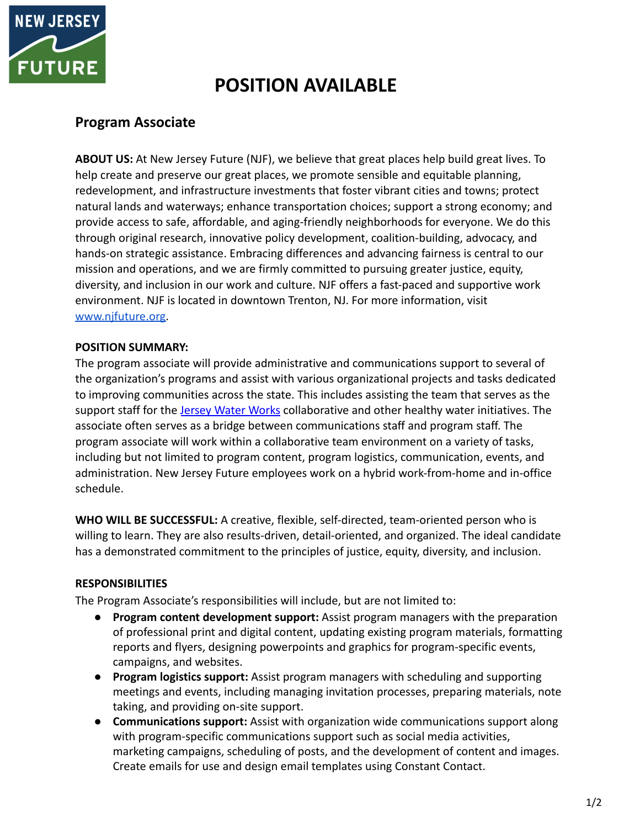

# **POSITION AVAILABLE**

## **Program Associate**

**ABOUT US:** At New Jersey Future (NJF), we believe that great places help build great lives. To help create and preserve our great places, we promote sensible and equitable planning, redevelopment, and infrastructure investments that foster vibrant cities and towns; protect natural lands and waterways; enhance transportation choices; support a strong economy; and provide access to safe, affordable, and aging-friendly neighborhoods for everyone. We do this through original research, innovative policy development, coalition-building, advocacy, and hands-on strategic assistance. Embracing differences and advancing fairness is central to our mission and operations, and we are firmly committed to pursuing greater justice, equity, diversity, and inclusion in our work and culture. NJF offers a fast-paced and supportive work environment. NJF is located in downtown Trenton, NJ. For more information, visit [www.njfuture.org.](http://www.njfuture.org)

#### **POSITION SUMMARY:**

The program associate will provide administrative and communications support to several of the organization's programs and assist with various organizational projects and tasks dedicated to improving communities across the state. This includes assisting the team that serves as the support staff for the [Jersey Water Works](https://www.jerseywaterworks.org/) collaborative and other healthy water initiatives. The associate often serves as a bridge between communications staff and program staff. The program associate will work within a collaborative team environment on a variety of tasks, including but not limited to program content, program logistics, communication, events, and administration. New Jersey Future employees work on a hybrid work-from-home and in-office schedule.

**WHO WILL BE SUCCESSFUL:** A creative, flexible, self-directed, team-oriented person who is willing to learn. They are also results-driven, detail-oriented, and organized. The ideal candidate has a demonstrated commitment to the principles of justice, equity, diversity, and inclusion.

#### **RESPONSIBILITIES**

The Program Associate's responsibilities will include, but are not limited to:

- **Program content development support:** Assist program managers with the preparation of professional print and digital content, updating existing program materials, formatting reports and flyers, designing powerpoints and graphics for program-specific events, campaigns, and websites.
- **● Program logistics support:** Assist program managers with scheduling and supporting meetings and events, including managing invitation processes, preparing materials, note taking, and providing on-site support.
- **Communications support:** Assist with organization wide communications support along with program-specific communications support such as social media activities, marketing campaigns, scheduling of posts, and the development of content and images. Create emails for use and design email templates using Constant Contact.